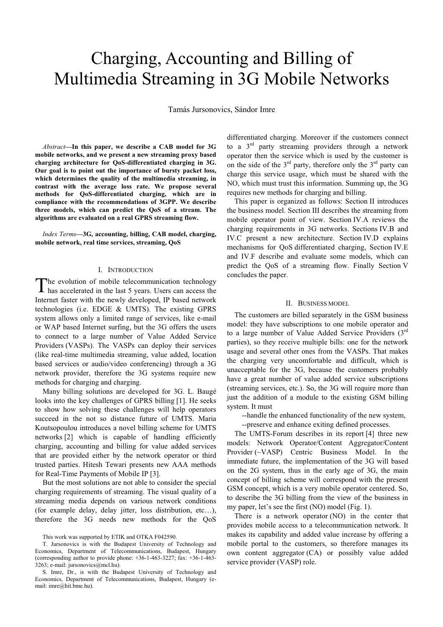# Charging, Accounting and Billing of Multimedia Streaming in 3G Mobile Networks

Tamás Jursonovics, Sándor Imre

*Abstract***—In this paper, we describe a CAB model for 3G mobile networks, and we present a new streaming proxy based charging architecture for QoS-differentiated charging in 3G. Our goal is to point out the importance of bursty packet loss, which determines the quality of the multimedia streaming, in contrast with the average loss rate. We propose several methods for QoS-differentiated charging, which are in compliance with the recommendations of 3GPP. We describe three models, which can predict the QoS of a stream. The algorithms are evaluated on a real GPRS streaming flow.** 

*Index Terms***—3G, accounting, billing, CAB model, charging, mobile network, real time services, streaming, QoS** 

#### I. INTRODUCTION

he evolution of mobile telecommunication technology The evolution of mobile telecommunication technology<br>has accelerated in the last 5 years. Users can access the Internet faster with the newly developed, IP based network technologies (i.e. EDGE & UMTS). The existing GPRS system allows only a limited range of services, like e-mail or WAP based Internet surfing, but the 3G offers the users to connect to a large number of Value Added Service Providers (VASPs). The VASPs can deploy their services (like real-time multimedia streaming, value added, location based services or audio/video conferencing) through a 3G network provider, therefore the 3G systems require new methods for charging and charging.

Many billing solutions are developed for 3G. L. Baugé looks into the key challenges of GPRS billing [1]. He seeks to show how solving these challenges will help operators succeed in the not so distance future of UMTS. Maria Koutsopoulou introduces a novel billing scheme for UMTS networks [2] which is capable of handling efficiently charging, accounting and billing for value added services that are provided either by the network operator or third trusted parties. Hitesh Tewari presents new AAA methods for Real-Time Payments of Mobile IP [3].

But the most solutions are not able to consider the special charging requirements of streaming. The visual quality of a streaming media depends on various network conditions (for example delay, delay jitter, loss distribution, etc…), therefore the 3G needs new methods for the QoS differentiated charging. Moreover if the customers connect to a  $3<sup>rd</sup>$  party streaming providers through a network operator then the service which is used by the customer is on the side of the  $3<sup>rd</sup>$  party, therefore only the  $3<sup>rd</sup>$  party can charge this service usage, which must be shared with the NO, which must trust this information. Summing up, the 3G requires new methods for charging and billing.

This paper is organized as follows: Section II introduces the business model. Section III describes the streaming from mobile operator point of view. Section IV.A reviews the charging requirements in 3G networks. Sections IV.B and IV.C present a new architecture. Section IV.D explains mechanisms for QoS differentiated charging, Section IV.E and IV.F describe and evaluate some models, which can predict the QoS of a streaming flow. Finally Section V concludes the paper.

#### II. BUSINESS MODEL

The customers are billed separately in the GSM business model: they have subscriptions to one mobile operator and to a large number of Value Added Service Providers (3rd parties), so they receive multiple bills: one for the network usage and several other ones from the VASPs. That makes the charging very uncomfortable and difficult, which is unacceptable for the 3G, because the customers probably have a great number of value added service subscriptions (streaming services, etc.). So, the 3G will require more than just the addition of a module to the existing GSM billing system. It must

--handle the enhanced functionality of the new system,

--preserve and enhance exiting defined processes.

The UMTS-Forum describes in its report [4] three new models: Network Operator/Content Aggregator/Content Provider (~VASP) Centric Business Model. In the immediate future, the implementation of the 3G will based on the 2G system, thus in the early age of 3G, the main concept of billing scheme will correspond with the present GSM concept, which is a very mobile operator centered. So, to describe the 3G billing from the view of the business in my paper, let's see the first (NO) model (Fig. 1).

There is a network operator (NO) in the center that provides mobile access to a telecommunication network. It makes its capability and added value increase by offering a mobile portal to the customers, so therefore manages its own content aggregator (CA) or possibly value added service provider (VASP) role.

This work was supported by ETIK and OTKA F042590.

T. Jursonovics is with the Budapest University of Technology and Economics, Department of Telecommunications, Budapest, Hungary (corresponding author to provide phone: +36-1-463-3227; fax: +36-1-463- 3263; e-mail: jursonovics@mcl.hu).

S. Imre, Dr., is with the Budapest University of Technology and Economics, Department of Telecommunications, Budapest, Hungary (email: imre@hit.bme.hu).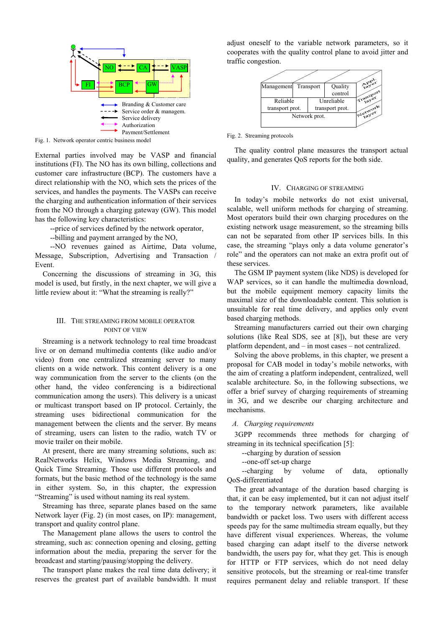

Fig. 1. Network operator centric business model

External parties involved may be VASP and financial institutions (FI). The NO has its own billing, collections and customer care infrastructure (BCP). The customers have a direct relationship with the NO, which sets the prices of the services, and handles the payments. The VASPs can receive the charging and authentication information of their services from the NO through a charging gateway (GW). This model has the following key characteristics:

--price of services defined by the network operator,

--billing and payment arranged by the NO,

 --NO revenues gained as Airtime, Data volume, Message, Subscription, Advertising and Transaction / Event.

Concerning the discussions of streaming in 3G, this model is used, but firstly, in the next chapter, we will give a little review about it: "What the streaming is really?"

## III. THE STREAMING FROM MOBILE OPERATOR POINT OF VIEW

Streaming is a network technology to real time broadcast live or on demand multimedia contents (like audio and/or video) from one centralized streaming server to many clients on a wide network. This content delivery is a one way communication from the server to the clients (on the other hand, the video conferencing is a bidirectional communication among the users). This delivery is a unicast or multicast transport based on IP protocol. Certainly, the streaming uses bidirectional communication for the management between the clients and the server. By means of streaming, users can listen to the radio, watch TV or movie trailer on their mobile.

At present, there are many streaming solutions, such as: RealNetworks Helix, Windows Media Streaming, and Quick Time Streaming. Those use different protocols and formats, but the basic method of the technology is the same in either system. So, in this chapter, the expression "Streaming" is used without naming its real system.

Streaming has three, separate planes based on the same Network layer (Fig. 2) (in most cases, on IP): management, transport and quality control plane.

The Management plane allows the users to control the streaming, such as: connection opening and closing, getting information about the media, preparing the server for the broadcast and starting/pausing/stopping the delivery.

The transport plane makes the real time data delivery; it reserves the greatest part of available bandwidth. It must adjust oneself to the variable network parameters, so it cooperates with the quality control plane to avoid jitter and traffic congestion.



Fig. 2. Streaming protocols

The quality control plane measures the transport actual quality, and generates QoS reports for the both side.

#### IV. CHARGING OF STREAMING

In today's mobile networks do not exist universal, scalable, well uniform methods for charging of streaming. Most operators build their own charging procedures on the existing network usage measurement, so the streaming bills can not be separated from other IP services bills. In this case, the streaming "plays only a data volume generator's role" and the operators can not make an extra profit out of these services.

The GSM IP payment system (like NDS) is developed for WAP services, so it can handle the multimedia download, but the mobile equipment memory capacity limits the maximal size of the downloadable content. This solution is unsuitable for real time delivery, and applies only event based charging methods.

Streaming manufacturers carried out their own charging solutions (like Real SDS, see at [8]), but these are very platform dependent, and – in most cases – not centralized.

Solving the above problems, in this chapter, we present a proposal for CAB model in today's mobile networks, with the aim of creating a platform independent, centralized, well scalable architecture. So, in the following subsections, we offer a brief survey of charging requirements of streaming in 3G, and we describe our charging architecture and mechanisms.

#### *A. Charging requirements*

3GPP recommends three methods for charging of streaming in its technical specification [5]:

--charging by duration of session

--one-off set-up charge

 --charging by volume of data, optionally QoS-differentiated

The great advantage of the duration based charging is that, it can be easy implemented, but it can not adjust itself to the temporary network parameters, like available bandwidth or packet loss. Two users with different access speeds pay for the same multimedia stream equally, but they have different visual experiences. Whereas, the volume based charging can adapt itself to the diverse network bandwidth, the users pay for, what they get. This is enough for HTTP or FTP services, which do not need delay sensitive protocols, but the streaming or real-time transfer requires permanent delay and reliable transport. If these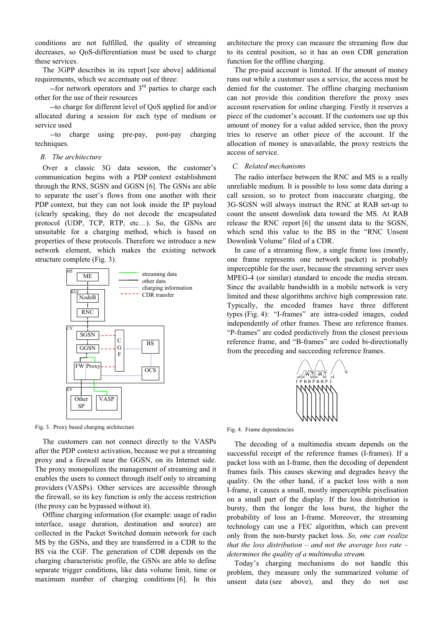conditions are not fulfilled, the quality of streaming decreases, so QoS-differentiation must be used to charge these services.

The 3GPP describes in its report [see above] additional requirements, which we accentuate out of three:

 $-$ for network operators and  $3<sup>rd</sup>$  parties to charge each other for the use of their resources

 --to charge for different level of QoS applied for and/or allocated during a session for each type of medium or service used

 --to charge using pre-pay, post-pay charging techniques.

## *B. The architecture*

Over a classic 3G data session, the customer's communication begins with a PDP context establishment through the RNS, SGSN and GGSN [6]. The GSNs are able to separate the user's flows from one another with their PDP context, but they can not look inside the IP payload (clearly speaking, they do not decode the encapsulated protocol (UDP, TCP, RTP, etc…). So, the GSNs are unsuitable for a charging method, which is based on properties of these protocols. Therefore we introduce a new network element, which makes the existing network structure complete (Fig. 3).



Fig. 3. Proxy based charging architecture

The customers can not connect directly to the VASPs after the PDP context activation, because we put a streaming proxy and a firewall near the GGSN, on its Internet side. The proxy monopolizes the management of streaming and it enables the users to connect through itself only to streaming providers (VASPs). Other services are accessible through the firewall, so its key function is only the access restriction (the proxy can be bypassed without it).

Offline charging information (for example: usage of radio interface, usage duration, destination and source) are collected in the Packet Switched domain network for each MS by the GSNs, and they are transferred in a CDR to the BS via the CGF. The generation of CDR depends on the charging characteristic profile, the GSNs are able to define separate trigger conditions, like data volume limit, time or maximum number of charging conditions [6]. In this architecture the proxy can measure the streaming flow due to its central position, so it has an own CDR generation function for the offline charging.

The pre-paid account is limited. If the amount of money runs out while a customer uses a service, the access must be denied for the customer. The offline charging mechanism can not provide this condition therefore the proxy uses account reservation for online charging. Firstly it reserves a piece of the customer's account. If the customers use up this amount of money for a value added service, then the proxy tries to reserve an other piece of the account. If the allocation of money is unavailable, the proxy restricts the access of service.

# *C. Related mechanisms*

The radio interface between the RNC and MS is a really unreliable medium. It is possible to loss some data during a call session, so to protect from inaccurate charging, the 3G-SGSN will always instruct the RNC at RAB set-up to count the unsent downlink data toward the MS. At RAB release the RNC report [6] the unsent data to the SGSN, which send this value to the BS in the "RNC Unsent Downlink Volume" filed of a CDR.

In case of a streaming flow, a single frame loss (mostly, one frame represents one network packet) is probably imperceptible for the user, because the streaming server uses MPEG-4 (or similar) standard to encode the media stream. Since the available bandwidth in a mobile network is very limited and these algorithms archive high compression rate. Typically, the encoded frames have three different types (Fig. 4): "I-frames" are intra-coded images, coded independently of other frames. These are reference frames. "P-frames" are coded predictively from the closest previous reference frame, and "B-frames" are coded bi-directionally from the preceding and succeeding reference frames.



Fig. 4. Frame dependencies

The decoding of a multimedia stream depends on the successful receipt of the reference frames (I-frames). If a packet loss with an I-frame, then the decoding of dependent frames fails. This causes skewing and degrades heavy the quality. On the other hand, if a packet loss with a non I-frame, it causes a small, mostly imperceptible pixelisation on a small part of the display. If the loss distribution is bursty, then the longer the loss burst, the higher the probability of loss an I-frame. Moreover, the streaming technology can use a FEC algorithm, which can prevent only from the non-bursty packet loss. *So, one can realize that the loss distribution – and not the average loss rate – determines the quality of a multimedia stream.*

Today's charging mechanisms do not handle this problem, they measure only the summarized volume of unsent data (see above), and they do not use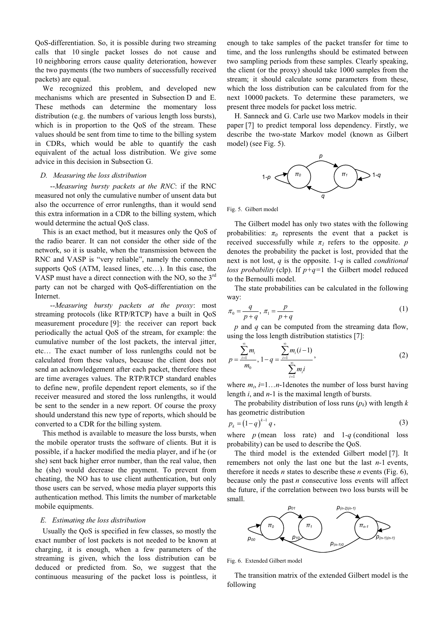QoS-differentiation. So, it is possible during two streaming calls that 10 single packet losses do not cause and 10 neighboring errors cause quality deterioration, however the two payments (the two numbers of successfully received packets) are equal.

We recognized this problem, and developed new mechanisms which are presented in Subsection D and E. These methods can determine the momentary loss distribution (e.g. the numbers of various length loss bursts), which is in proportion to the QoS of the stream. These values should be sent from time to time to the billing system in CDRs, which would be able to quantify the cash equivalent of the actual loss distribution. We give some advice in this decision in Subsection G.

### *D. Measuring the loss distribution*

 --*Measuring bursty packets at the RNC*: if the RNC measured not only the cumulative number of unsent data but also the occurrence of error runlengths, than it would send this extra information in a CDR to the billing system, which would determine the actual QoS class.

This is an exact method, but it measures only the QoS of the radio bearer. It can not consider the other side of the network, so it is usable, when the transmission between the RNC and VASP is "very reliable", namely the connection supports QoS (ATM, leased lines, etc…). In this case, the VASP must have a direct connection with the NO, so the  $3<sup>rd</sup>$ party can not be charged with QoS-differentiation on the Internet.

 --*Measuring bursty packets at the proxy*: most streaming protocols (like RTP/RTCP) have a built in QoS measurement procedure [9]: the receiver can report back periodically the actual QoS of the stream, for example: the cumulative number of the lost packets, the interval jitter, etc… The exact number of loss runlengths could not be calculated from these values, because the client does not send an acknowledgement after each packet, therefore these are time averages values. The RTP/RTCP standard enables to define new, profile dependent report elements, so if the receiver measured and stored the loss runlengths, it would be sent to the sender in a new report. Of course the proxy should understand this new type of reports, which should be converted to a CDR for the billing system.

This method is available to measure the loss bursts, when the mobile operator trusts the software of clients. But it is possible, if a hacker modified the media player, and if he (or she) sent back higher error number, than the real value, then he (she) would decrease the payment. To prevent from cheating, the NO has to use client authentication, but only those users can be served, whose media player supports this authentication method. This limits the number of marketable mobile equipments.

#### *E. Estimating the loss distribution*

Usually the QoS is specified in few classes, so mostly the exact number of lost packets is not needed to be known at charging, it is enough, when a few parameters of the streaming is given, which the loss distribution can be deduced or predicted from. So, we suggest that the continuous measuring of the packet loss is pointless, it

enough to take samples of the packet transfer for time to time, and the loss runlengths should be estimated between two sampling periods from these samples. Clearly speaking, the client (or the proxy) should take 1000 samples from the stream; it should calculate some parameters from these, which the loss distribution can be calculated from for the next 10000 packets. To determine these parameters, we present three models for packet loss metric.

H. Sanneck and G. Carle use two Markov models in their paper [7] to predict temporal loss dependency. Firstly, we describe the two-state Markov model (known as Gilbert model) (see Fig. 5).



Fig. 5. Gilbert model

The Gilbert model has only two states with the following probabilities:  $\pi_0$  represents the event that a packet is received successfully while  $\pi_l$  refers to the opposite. *p* denotes the probability the packet is lost, provided that the next is not lost, *q* is the opposite. 1*-q* is called *conditional loss probability* (clp). If *p+q=*1 the Gilbert model reduced to the Bernoulli model.

The state probabilities can be calculated in the following way:

$$
\pi_0 = \frac{q}{p+q}, \quad \pi_1 = \frac{p}{p+q} \tag{1}
$$

*p* and *q* can be computed from the streaming data flow, using the loss length distribution statistics [7]:

$$
p = \frac{\sum_{i=1}^{\infty} m_i}{m_0}, 1 - q = \frac{\sum_{i=1}^{\infty} m_i (i-1)}{\sum_{i=1}^{\infty} m_i i},
$$
 (2)

where  $m_i$ ,  $i=1...n$ -1denotes the number of loss burst having length *i*, and *n*-1 is the maximal length of bursts.

The probability distribution of loss runs  $(p_k)$  with length  $k$ has geometric distribution

$$
p_k = (1 - q)^{k-1} q,
$$
\n(3)

where  $p$  (mean loss rate) and  $1-q$  (conditional loss probability) can be used to describe the QoS.

The third model is the extended Gilbert model [7]. It remembers not only the last one but the last *n-*1 events, therefore it needs *n* states to describe these *n* events (Fig. 6), because only the past *n* consecutive loss events will affect the future, if the correlation between two loss bursts will be small.



Fig. 6. Extended Gilbert model

The transition matrix of the extended Gilbert model is the following